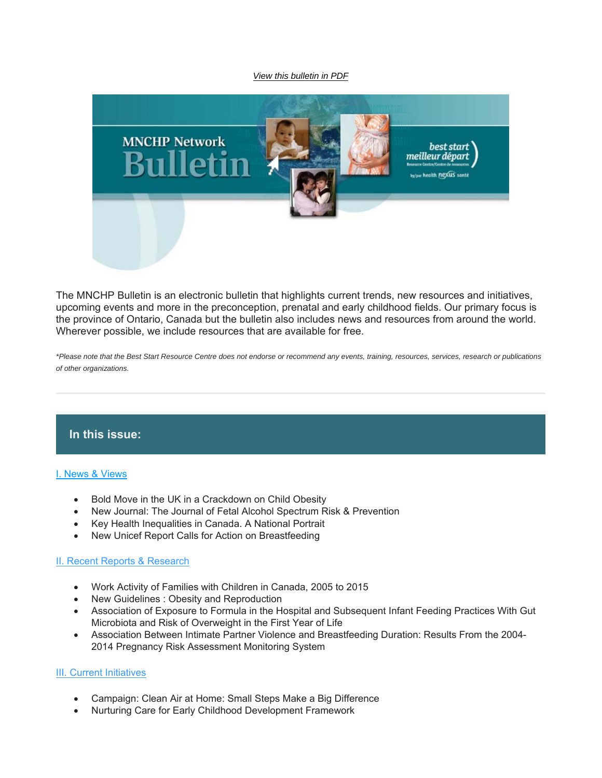#### *View this bulletin in PDF*



The MNCHP Bulletin is an electronic bulletin that highlights current trends, new resources and initiatives, upcoming events and more in the preconception, prenatal and early childhood fields. Our primary focus is the province of Ontario, Canada but the bulletin also includes news and resources from around the world. Wherever possible, we include resources that are available for free.

*\*Please note that the Best Start Resource Centre does not endorse or recommend any events, training, resources, services, research or publications of other organizations.*

# **In this issue:**

#### I. News & Views

- Bold Move in the UK in a Crackdown on Child Obesity
- New Journal: The Journal of Fetal Alcohol Spectrum Risk & Prevention
- Key Health Inequalities in Canada. A National Portrait
- New Unicef Report Calls for Action on Breastfeeding

### II. Recent Reports & Research

- Work Activity of Families with Children in Canada, 2005 to 2015
- New Guidelines : Obesity and Reproduction
- Association of Exposure to Formula in the Hospital and Subsequent Infant Feeding Practices With Gut Microbiota and Risk of Overweight in the First Year of Life
- Association Between Intimate Partner Violence and Breastfeeding Duration: Results From the 2004- 2014 Pregnancy Risk Assessment Monitoring System

#### III. Current Initiatives

- Campaign: Clean Air at Home: Small Steps Make a Big Difference
- Nurturing Care for Early Childhood Development Framework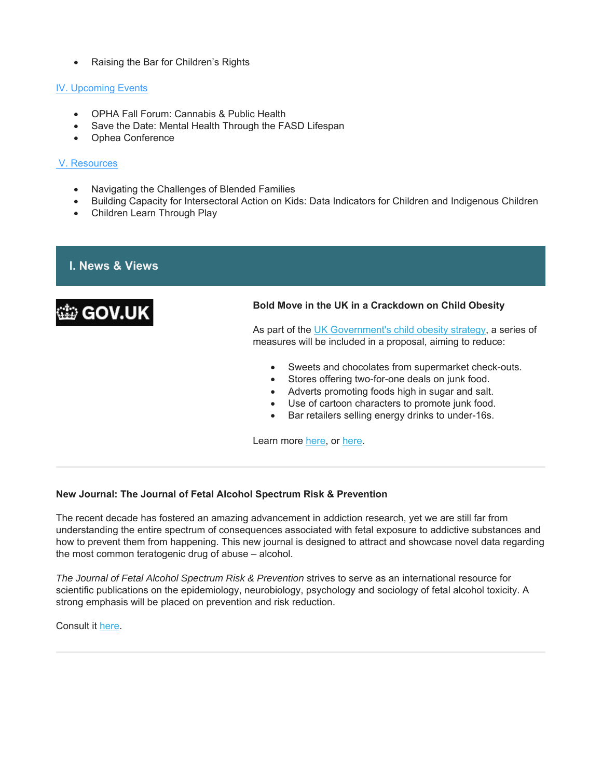• Raising the Bar for Children's Rights

### IV. Upcoming Events

- OPHA Fall Forum: Cannabis & Public Health
- Save the Date: Mental Health Through the FASD Lifespan
- Ophea Conference

## V. Resources

- Navigating the Challenges of Blended Families
- Building Capacity for Intersectoral Action on Kids: Data Indicators for Children and Indigenous Children
- Children Learn Through Play

# **I. News & Views**



# **Bold Move in the UK in a Crackdown on Child Obesity**

As part of the UK Government's child obesity strategy, a series of measures will be included in a proposal, aiming to reduce:

- Sweets and chocolates from supermarket check-outs.
- Stores offering two-for-one deals on junk food.
- Adverts promoting foods high in sugar and salt.
- Use of cartoon characters to promote junk food.
- Bar retailers selling energy drinks to under-16s.

Learn more here, or here.

### **New Journal: The Journal of Fetal Alcohol Spectrum Risk & Prevention**

The recent decade has fostered an amazing advancement in addiction research, yet we are still far from understanding the entire spectrum of consequences associated with fetal exposure to addictive substances and how to prevent them from happening. This new journal is designed to attract and showcase novel data regarding the most common teratogenic drug of abuse – alcohol.

*The Journal of Fetal Alcohol Spectrum Risk & Prevention* strives to serve as an international resource for scientific publications on the epidemiology, neurobiology, psychology and sociology of fetal alcohol toxicity. A strong emphasis will be placed on prevention and risk reduction.

Consult it here.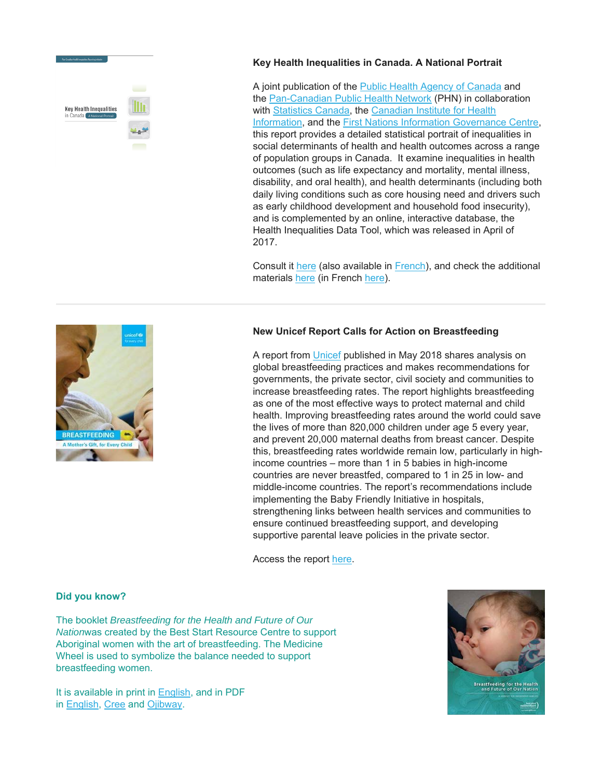

# **Key Health Inequalities in Canada. A National Portrait**

A joint publication of the **Public Health Agency of Canada and** the Pan-Canadian Public Health Network (PHN) in collaboration with Statistics Canada, the Canadian Institute for Health Information, and the First Nations Information Governance Centre, this report provides a detailed statistical portrait of inequalities in social determinants of health and health outcomes across a range of population groups in Canada. It examine inequalities in health outcomes (such as life expectancy and mortality, mental illness, disability, and oral health), and health determinants (including both daily living conditions such as core housing need and drivers such as early childhood development and household food insecurity), and is complemented by an online, interactive database, the Health Inequalities Data Tool, which was released in April of 2017.

Consult it here (also available in French), and check the additional materials here (in French here).

### **New Unicef Report Calls for Action on Breastfeeding**

A report from Unicef published in May 2018 shares analysis on global breastfeeding practices and makes recommendations for governments, the private sector, civil society and communities to increase breastfeeding rates. The report highlights breastfeeding as one of the most effective ways to protect maternal and child health. Improving breastfeeding rates around the world could save the lives of more than 820,000 children under age 5 every year, and prevent 20,000 maternal deaths from breast cancer. Despite this, breastfeeding rates worldwide remain low, particularly in highincome countries – more than 1 in 5 babies in high-income countries are never breastfed, compared to 1 in 25 in low- and middle-income countries. The report's recommendations include implementing the Baby Friendly Initiative in hospitals, strengthening links between health services and communities to ensure continued breastfeeding support, and developing supportive parental leave policies in the private sector.

Access the report here.

#### **Did you know?**

The booklet *Breastfeeding for the Health and Future of Our Nation*was created by the Best Start Resource Centre to support Aboriginal women with the art of breastfeeding. The Medicine Wheel is used to symbolize the balance needed to support breastfeeding women.

It is available in print in English, and in PDF in English, Cree and Ojibway.



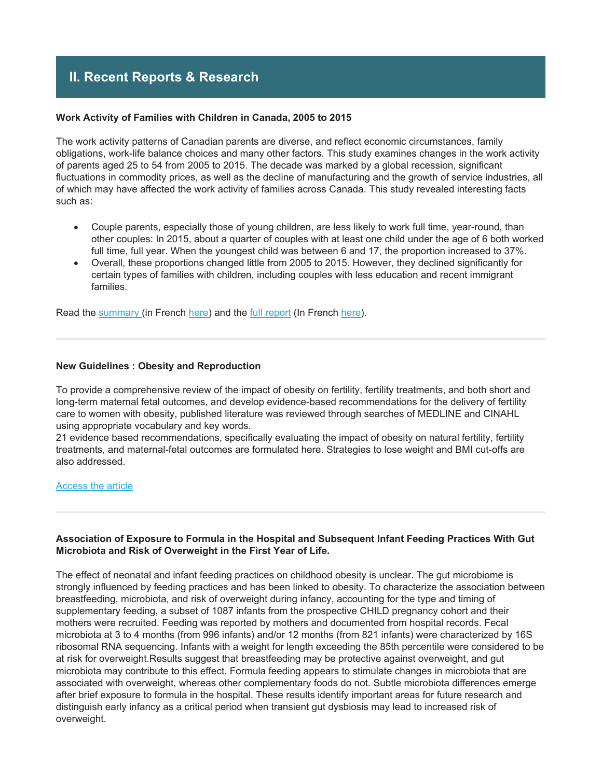# **II. Recent Reports & Research**

### **Work Activity of Families with Children in Canada, 2005 to 2015**

The work activity patterns of Canadian parents are diverse, and reflect economic circumstances, family obligations, work-life balance choices and many other factors. This study examines changes in the work activity of parents aged 25 to 54 from 2005 to 2015. The decade was marked by a global recession, significant fluctuations in commodity prices, as well as the decline of manufacturing and the growth of service industries, all of which may have affected the work activity of families across Canada. This study revealed interesting facts such as:

- Couple parents, especially those of young children, are less likely to work full time, year-round, than other couples: In 2015, about a quarter of couples with at least one child under the age of 6 both worked full time, full year. When the youngest child was between 6 and 17, the proportion increased to 37%.
- Overall, these proportions changed little from 2005 to 2015. However, they declined significantly for certain types of families with children, including couples with less education and recent immigrant families.

Read the summary (in French here) and the full report (In French here).

### **New Guidelines : Obesity and Reproduction**

To provide a comprehensive review of the impact of obesity on fertility, fertility treatments, and both short and long-term maternal fetal outcomes, and develop evidence-based recommendations for the delivery of fertility care to women with obesity, published literature was reviewed through searches of MEDLINE and CINAHL using appropriate vocabulary and key words.

21 evidence based recommendations, specifically evaluating the impact of obesity on natural fertility, fertility treatments, and maternal-fetal outcomes are formulated here. Strategies to lose weight and BMI cut-offs are also addressed.

### Access the article

# **Association of Exposure to Formula in the Hospital and Subsequent Infant Feeding Practices With Gut Microbiota and Risk of Overweight in the First Year of Life.**

The effect of neonatal and infant feeding practices on childhood obesity is unclear. The gut microbiome is strongly influenced by feeding practices and has been linked to obesity. To characterize the association between breastfeeding, microbiota, and risk of overweight during infancy, accounting for the type and timing of supplementary feeding, a subset of 1087 infants from the prospective CHILD pregnancy cohort and their mothers were recruited. Feeding was reported by mothers and documented from hospital records. Fecal microbiota at 3 to 4 months (from 996 infants) and/or 12 months (from 821 infants) were characterized by 16S ribosomal RNA sequencing. Infants with a weight for length exceeding the 85th percentile were considered to be at risk for overweight.Results suggest that breastfeeding may be protective against overweight, and gut microbiota may contribute to this effect. Formula feeding appears to stimulate changes in microbiota that are associated with overweight, whereas other complementary foods do not. Subtle microbiota differences emerge after brief exposure to formula in the hospital. These results identify important areas for future research and distinguish early infancy as a critical period when transient gut dysbiosis may lead to increased risk of overweight.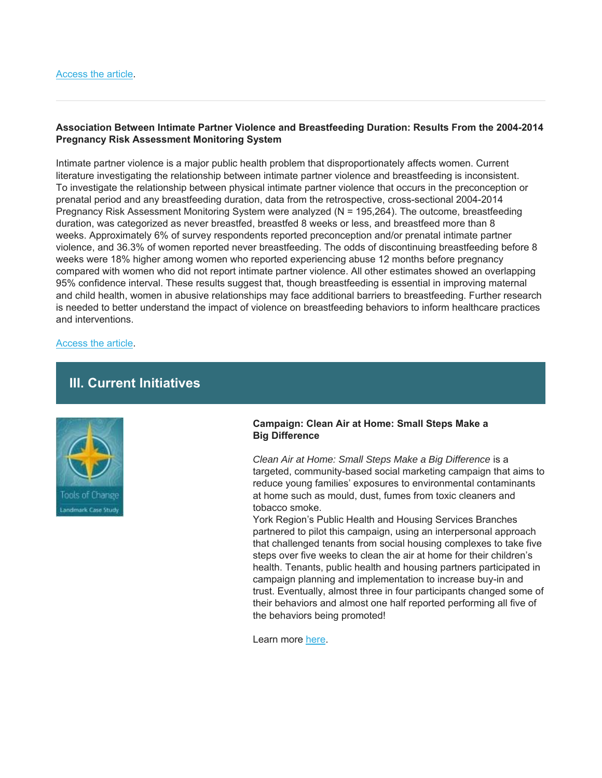## **Association Between Intimate Partner Violence and Breastfeeding Duration: Results From the 2004-2014 Pregnancy Risk Assessment Monitoring System**

Intimate partner violence is a major public health problem that disproportionately affects women. Current literature investigating the relationship between intimate partner violence and breastfeeding is inconsistent. To investigate the relationship between physical intimate partner violence that occurs in the preconception or prenatal period and any breastfeeding duration, data from the retrospective, cross-sectional 2004-2014 Pregnancy Risk Assessment Monitoring System were analyzed (N = 195,264). The outcome, breastfeeding duration, was categorized as never breastfed, breastfed 8 weeks or less, and breastfeed more than 8 weeks. Approximately 6% of survey respondents reported preconception and/or prenatal intimate partner violence, and 36.3% of women reported never breastfeeding. The odds of discontinuing breastfeeding before 8 weeks were 18% higher among women who reported experiencing abuse 12 months before pregnancy compared with women who did not report intimate partner violence. All other estimates showed an overlapping 95% confidence interval. These results suggest that, though breastfeeding is essential in improving maternal and child health, women in abusive relationships may face additional barriers to breastfeeding. Further research is needed to better understand the impact of violence on breastfeeding behaviors to inform healthcare practices and interventions.

#### Access the article.

# **III. Current Initiatives**



### **Campaign: Clean Air at Home: Small Steps Make a Big Difference**

*Clean Air at Home: Small Steps Make a Big Difference* is a targeted, community-based social marketing campaign that aims to reduce young families' exposures to environmental contaminants at home such as mould, dust, fumes from toxic cleaners and tobacco smoke.

York Region's Public Health and Housing Services Branches partnered to pilot this campaign, using an interpersonal approach that challenged tenants from social housing complexes to take five steps over five weeks to clean the air at home for their children's health. Tenants, public health and housing partners participated in campaign planning and implementation to increase buy-in and trust. Eventually, almost three in four participants changed some of their behaviors and almost one half reported performing all five of the behaviors being promoted!

Learn more here.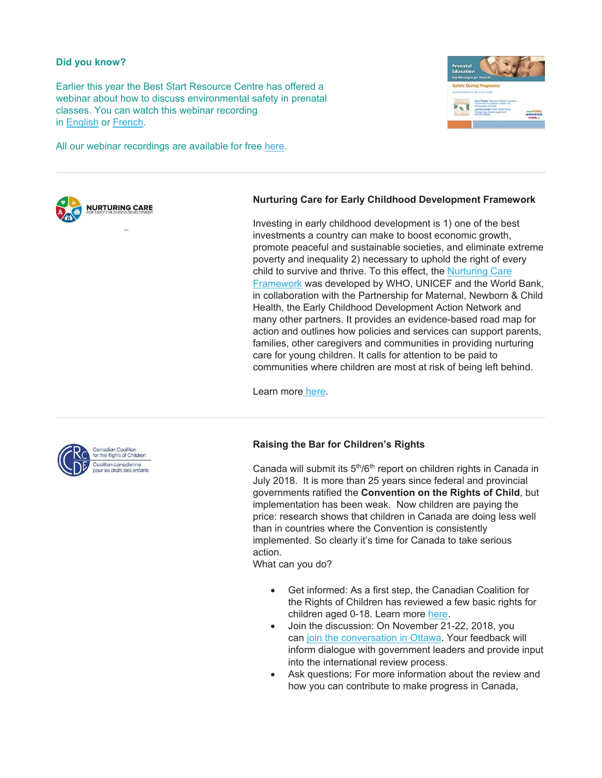#### **Did you know?**

Earlier this year the Best Start Resource Centre has offered a webinar about how to discuss environmental safety in prenatal classes. You can watch this webinar recording in English or French.

All our webinar recordings are available for free here.





# **Nurturing Care for Early Childhood Development Framework**

Investing in early childhood development is 1) one of the best investments a country can make to boost economic growth, promote peaceful and sustainable societies, and eliminate extreme poverty and inequality 2) necessary to uphold the right of every child to survive and thrive. To this effect, the Nurturing Care Framework was developed by WHO, UNICEF and the World Bank, in collaboration with the Partnership for Maternal, Newborn & Child Health, the Early Childhood Development Action Network and many other partners. It provides an evidence-based road map for action and outlines how policies and services can support parents, families, other caregivers and communities in providing nurturing care for young children. It calls for attention to be paid to communities where children are most at risk of being left behind.

Learn more here.

### **Raising the Bar for Children's Rights**

Canada will submit its  $5<sup>th</sup>/6<sup>th</sup>$  report on children rights in Canada in July 2018. It is more than 25 years since federal and provincial governments ratified the **Convention on the Rights of Child**, but implementation has been weak. Now children are paying the price: research shows that children in Canada are doing less well than in countries where the Convention is consistently implemented. So clearly it's time for Canada to take serious action.

What can you do?

- Get informed: As a first step, the Canadian Coalition for the Rights of Children has reviewed a few basic rights for children aged 0-18. Learn more here.
- Join the discussion: On November 21-22, 2018, you can join the conversation in Ottawa. Your feedback will inform dialogue with government leaders and provide input into the international review process.
- Ask questions: For more information about the review and how you can contribute to make progress in Canada,

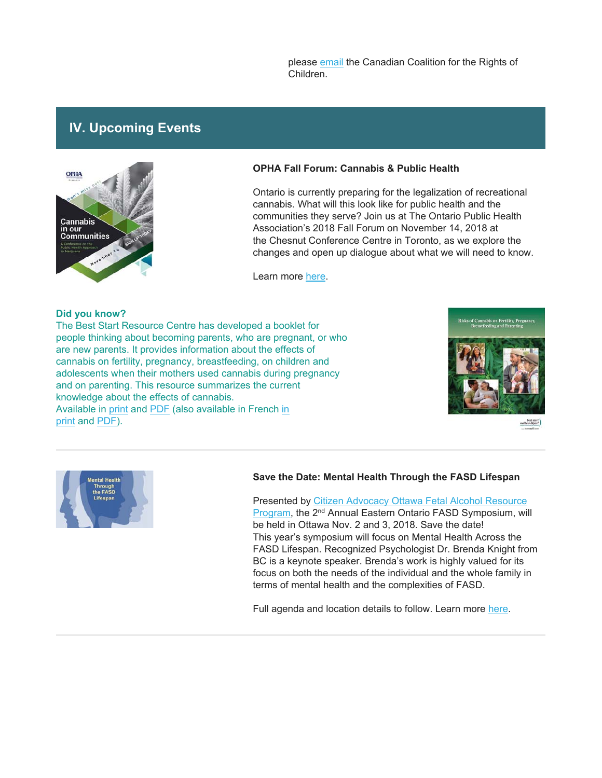please email the Canadian Coalition for the Rights of Children.

# **IV. Upcoming Events**



### **OPHA Fall Forum: Cannabis & Public Health**

Ontario is currently preparing for the legalization of recreational cannabis. What will this look like for public health and the communities they serve? Join us at The Ontario Public Health Association's 2018 Fall Forum on November 14, 2018 at the Chesnut Conference Centre in Toronto, as we explore the changes and open up dialogue about what we will need to know.

Learn more here.

#### **Did you know?**

The Best Start Resource Centre has developed a booklet for people thinking about becoming parents, who are pregnant, or who are new parents. It provides information about the effects of cannabis on fertility, pregnancy, breastfeeding, on children and adolescents when their mothers used cannabis during pregnancy and on parenting. This resource summarizes the current knowledge about the effects of cannabis. Available in print and PDF (also available in French in print and **PDF**).





### **Save the Date: Mental Health Through the FASD Lifespan**

Presented by Citizen Advocacy Ottawa Fetal Alcohol Resource Program, the 2nd Annual Eastern Ontario FASD Symposium, will be held in Ottawa Nov. 2 and 3, 2018. Save the date! This year's symposium will focus on Mental Health Across the FASD Lifespan. Recognized Psychologist Dr. Brenda Knight from BC is a keynote speaker. Brenda's work is highly valued for its focus on both the needs of the individual and the whole family in terms of mental health and the complexities of FASD.

Full agenda and location details to follow. Learn more here.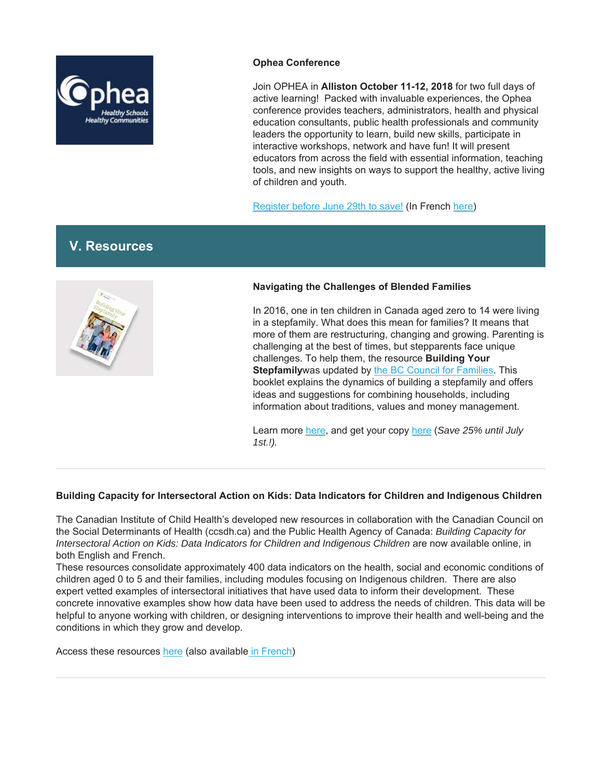

# **Ophea Conference**

Join OPHEA in **Alliston October 11-12, 2018** for two full days of active learning! Packed with invaluable experiences, the Ophea conference provides teachers, administrators, health and physical education consultants, public health professionals and community leaders the opportunity to learn, build new skills, participate in interactive workshops, network and have fun! It will present educators from across the field with essential information, teaching tools, and new insights on ways to support the healthy, active living of children and youth.

Register before June 29th to save! (In French here)

# **V. Resources**



# **Navigating the Challenges of Blended Families**

In 2016, one in ten children in Canada aged zero to 14 were living in a stepfamily. What does this mean for families? It means that more of them are restructuring, changing and growing. Parenting is challenging at the best of times, but stepparents face unique challenges. To help them, the resource **Building Your Stepfamily** was updated by the BC Council for Families. This booklet explains the dynamics of building a stepfamily and offers ideas and suggestions for combining households, including information about traditions, values and money management.

Learn more here, and get your copy here (*Save 25% until July 1st.!).*

# **Building Capacity for Intersectoral Action on Kids: Data Indicators for Children and Indigenous Children**

The Canadian Institute of Child Health's developed new resources in collaboration with the Canadian Council on the Social Determinants of Health (ccsdh.ca) and the Public Health Agency of Canada: *Building Capacity for Intersectoral Action on Kids: Data Indicators for Children and Indigenous Children* are now available online, in both English and French.

These resources consolidate approximately 400 data indicators on the health, social and economic conditions of children aged 0 to 5 and their families, including modules focusing on Indigenous children. There are also expert vetted examples of intersectoral initiatives that have used data to inform their development. These concrete innovative examples show how data have been used to address the needs of children. This data will be helpful to anyone working with children, or designing interventions to improve their health and well-being and the conditions in which they grow and develop.

Access these resources here (also available in French)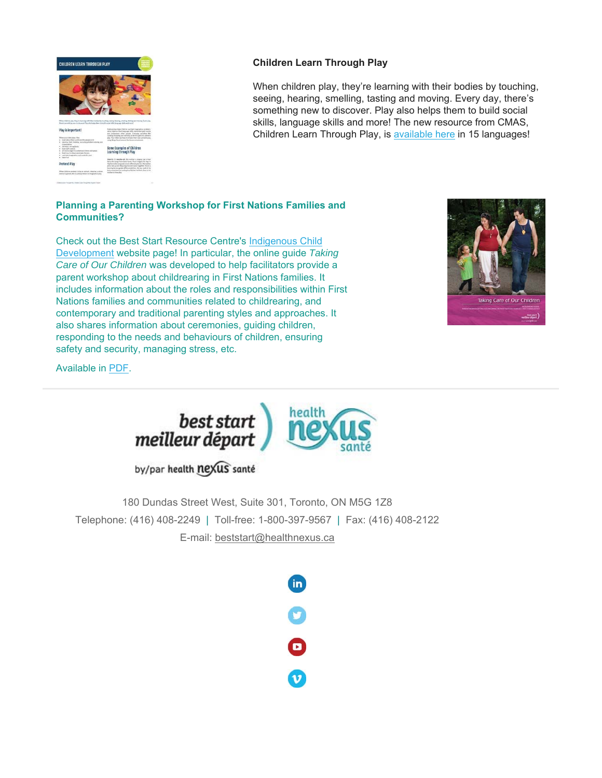

# **Children Learn Through Play**

When children play, they're learning with their bodies by touching, seeing, hearing, smelling, tasting and moving. Every day, there's something new to discover. Play also helps them to build social skills, language skills and more! The new resource from CMAS, Children Learn Through Play, is available here in 15 languages!

# **Planning a Parenting Workshop for First Nations Families and Communities?**

Check out the Best Start Resource Centre's Indigenous Child Development website page! In particular, the online guide *Taking Care of Our Children* was developed to help facilitators provide a parent workshop about childrearing in First Nations families. It includes information about the roles and responsibilities within First Nations families and communities related to childrearing, and contemporary and traditional parenting styles and approaches. It also shares information about ceremonies, guiding children, responding to the needs and behaviours of children, ensuring safety and security, managing stress, etc.



Available in PDF.



by/par health nexus santé

180 Dundas Street West, Suite 301, Toronto, ON M5G 1Z8 Telephone: (416) 408-2249 | Toll-free: 1-800-397-9567 | Fax: (416) 408-2122 E-mail: beststart@healthnexus.ca